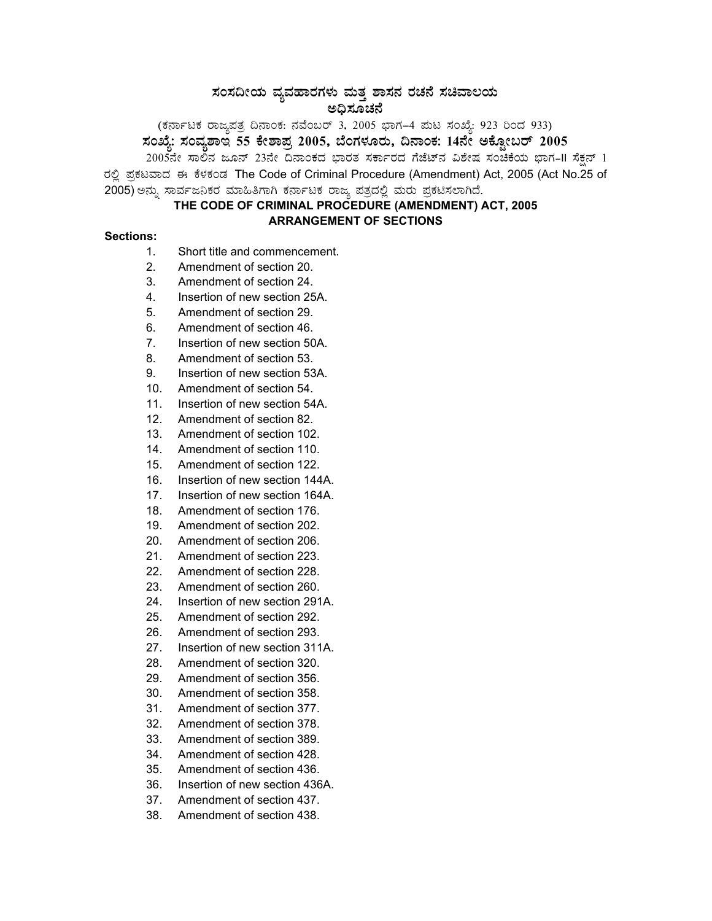# $\,$ ಸಂಸದೀಯ ವ್ಯವಹಾರಗಳು ಮತ್ತ ಶಾಸನ ರಚನೆ ಸಚಿವಾಲಯ ಅಧಿಸೂಚನೆ

(ಕರ್ನಾಟಕ ರಾಜ್ಯಪತ್ರ ದಿನಾಂಕ: ನವೆಂಬರ್ 3, 2005 ಭಾಗ–4 ಮಟ ಸಂಖ್ಯೆ: 923 ರಿಂದ 933) **¸ÀASÉå: ¸ÀAªÀå±ÁE 55 PÉñÁ¥Àæ 2005, ¨ÉAUÀ¼ÀÆgÀÄ, ¢£ÁAPÀ: 14£Éà CPÉÆÖçgï 2005** 

2005ನೇ ಸಾಲಿನ ಜೂನ್ 23ನೇ ದಿನಾಂಕದ ಭಾರತ ಸರ್ಕಾರದ ಗೆಜೆಟ್ನ ವಿಶೇಷ ಸಂಚಿಕೆಯ ಭಾಗ-II ಸೆಕ್ಷನ್ 1 ರಲ್ಲಿ ಪ್ರಕಟವಾದ ಈ ಕೆಳಕಂಡ The Code of Criminal Procedure (Amendment) Act, 2005 (Act No.25 of 2005) ಅನ್ನು ಸಾರ್ವಜನಿಕರ ಮಾಹಿತಿಗಾಗಿ ಕರ್ನಾಟಕ ರಾಜ್ಯ ಪತ್ರದಲ್ಲಿ ಮರು ಪ್ರಕಟಿಸಲಾಗಿದೆ.

## **THE CODE OF CRIMINAL PROCEDURE (AMENDMENT) ACT, 2005 ARRANGEMENT OF SECTIONS**

### **Sections:**

- 1. Short title and commencement.
- 2. Amendment of section 20.
- 3. Amendment of section 24.
- 4. Insertion of new section 25A.
- 5. Amendment of section 29.
- 6. Amendment of section 46.
- 7. Insertion of new section 50A.
- 8. Amendment of section 53.
- 9. Insertion of new section 53A.
- 10. Amendment of section 54.
- 11. Insertion of new section 54A.
- 12. Amendment of section 82.
- 13. Amendment of section 102.
- 14. Amendment of section 110.
- 15. Amendment of section 122.
- 16. Insertion of new section 144A.
- 17. Insertion of new section 164A.
- 18. Amendment of section 176.
- 19. Amendment of section 202.
- 20. Amendment of section 206.
- 21. Amendment of section 223.
- 22. Amendment of section 228.
- 23. Amendment of section 260.
- 24. Insertion of new section 291A.
- 25. Amendment of section 292.
- 26. Amendment of section 293.
- 27. Insertion of new section 311A.
- 28. Amendment of section 320.
- 29. Amendment of section 356.
- 30. Amendment of section 358.
- 31. Amendment of section 377.
- 32. Amendment of section 378.
- 33. Amendment of section 389.
- 34. Amendment of section 428.
- 35. Amendment of section 436.
- 36. Insertion of new section 436A.
- 37. Amendment of section 437.
- 38. Amendment of section 438.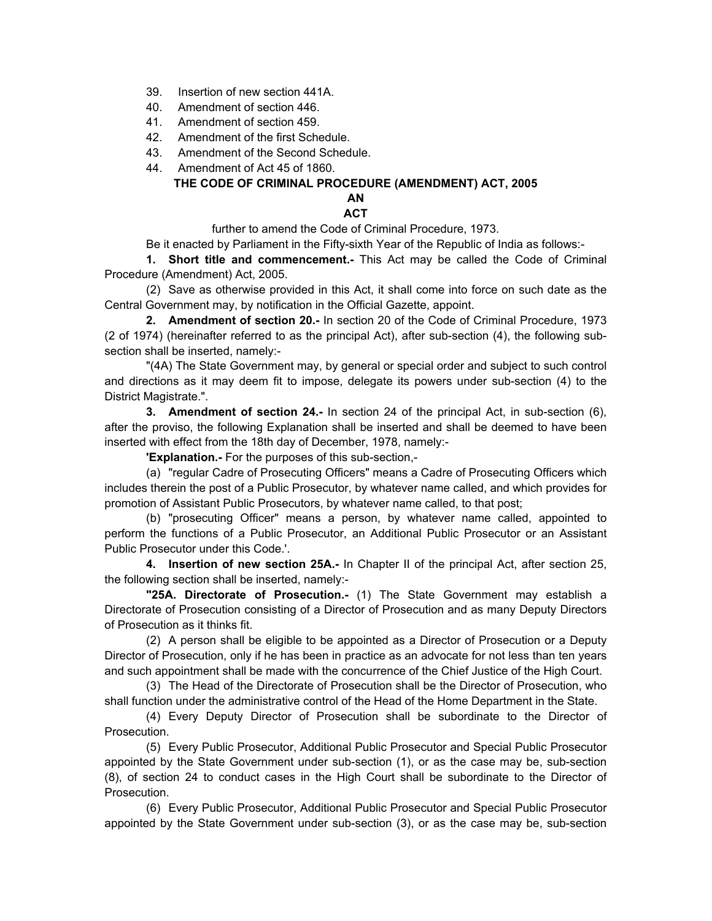- 39. Insertion of new section 441A.
- 40. Amendment of section 446.
- 41. Amendment of section 459.
- 42. Amendment of the first Schedule.
- 43. Amendment of the Second Schedule.
- 44. Amendment of Act 45 of 1860.

#### **THE CODE OF CRIMINAL PROCEDURE (AMENDMENT) ACT, 2005 AN**

## **ACT**

further to amend the Code of Criminal Procedure, 1973.

Be it enacted by Parliament in the Fifty-sixth Year of the Republic of India as follows:-

**1. Short title and commencement.-** This Act may be called the Code of Criminal Procedure (Amendment) Act, 2005.

(2) Save as otherwise provided in this Act, it shall come into force on such date as the Central Government may, by notification in the Official Gazette, appoint.

**2. Amendment of section 20.-** In section 20 of the Code of Criminal Procedure, 1973 (2 of 1974) (hereinafter referred to as the principal Act), after sub-section (4), the following subsection shall be inserted, namely:-

"(4A) The State Government may, by general or special order and subject to such control and directions as it may deem fit to impose, delegate its powers under sub-section (4) to the District Magistrate.".

**3. Amendment of section 24.-** In section 24 of the principal Act, in sub-section (6), after the proviso, the following Explanation shall be inserted and shall be deemed to have been inserted with effect from the 18th day of December, 1978, namely:-

**'Explanation.-** For the purposes of this sub-section,-

(a) "regular Cadre of Prosecuting Officers" means a Cadre of Prosecuting Officers which includes therein the post of a Public Prosecutor, by whatever name called, and which provides for promotion of Assistant Public Prosecutors, by whatever name called, to that post;

(b) "prosecuting Officer" means a person, by whatever name called, appointed to perform the functions of a Public Prosecutor, an Additional Public Prosecutor or an Assistant Public Prosecutor under this Code.'.

**4. Insertion of new section 25A.-** In Chapter II of the principal Act, after section 25, the following section shall be inserted, namely:-

**"25A. Directorate of Prosecution.-** (1) The State Government may establish a Directorate of Prosecution consisting of a Director of Prosecution and as many Deputy Directors of Prosecution as it thinks fit.

(2) A person shall be eligible to be appointed as a Director of Prosecution or a Deputy Director of Prosecution, only if he has been in practice as an advocate for not less than ten years and such appointment shall be made with the concurrence of the Chief Justice of the High Court.

(3) The Head of the Directorate of Prosecution shall be the Director of Prosecution, who shall function under the administrative control of the Head of the Home Department in the State.

(4) Every Deputy Director of Prosecution shall be subordinate to the Director of Prosecution.

(5) Every Public Prosecutor, Additional Public Prosecutor and Special Public Prosecutor appointed by the State Government under sub-section (1), or as the case may be, sub-section (8), of section 24 to conduct cases in the High Court shall be subordinate to the Director of Prosecution.

(6) Every Public Prosecutor, Additional Public Prosecutor and Special Public Prosecutor appointed by the State Government under sub-section (3), or as the case may be, sub-section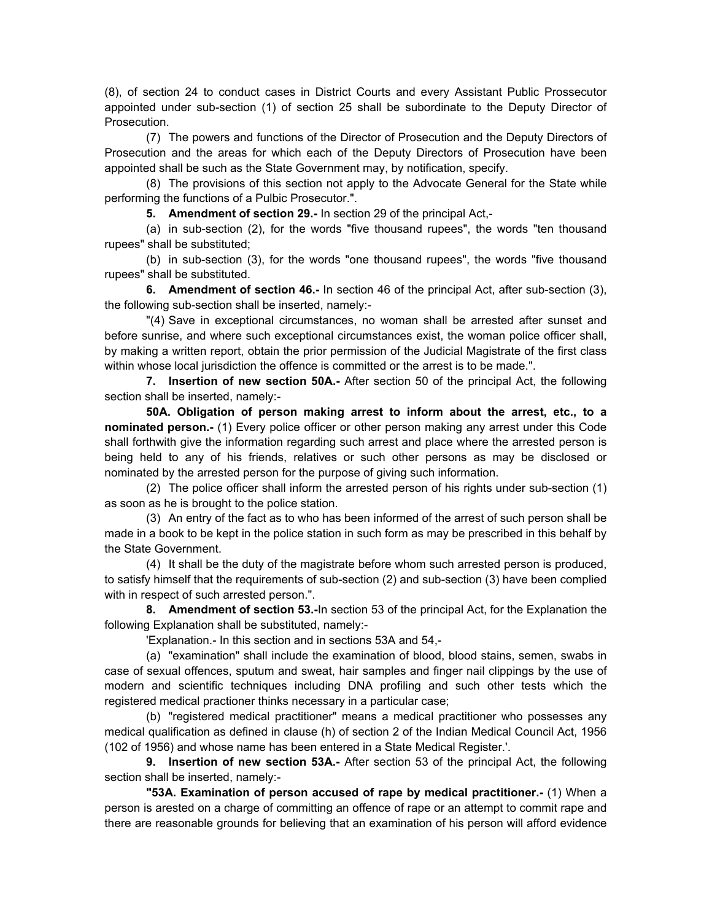(8), of section 24 to conduct cases in District Courts and every Assistant Public Prossecutor appointed under sub-section (1) of section 25 shall be subordinate to the Deputy Director of Prosecution.

(7) The powers and functions of the Director of Prosecution and the Deputy Directors of Prosecution and the areas for which each of the Deputy Directors of Prosecution have been appointed shall be such as the State Government may, by notification, specify.

(8) The provisions of this section not apply to the Advocate General for the State while performing the functions of a Pulbic Prosecutor.".

**5. Amendment of section 29.-** In section 29 of the principal Act,-

(a) in sub-section (2), for the words "five thousand rupees", the words "ten thousand rupees" shall be substituted;

(b) in sub-section (3), for the words "one thousand rupees", the words "five thousand rupees" shall be substituted.

**6. Amendment of section 46.-** In section 46 of the principal Act, after sub-section (3), the following sub-section shall be inserted, namely:-

"(4) Save in exceptional circumstances, no woman shall be arrested after sunset and before sunrise, and where such exceptional circumstances exist, the woman police officer shall, by making a written report, obtain the prior permission of the Judicial Magistrate of the first class within whose local jurisdiction the offence is committed or the arrest is to be made.".

**7. Insertion of new section 50A.-** After section 50 of the principal Act, the following section shall be inserted, namely:-

**50A. Obligation of person making arrest to inform about the arrest, etc., to a nominated person.-** (1) Every police officer or other person making any arrest under this Code shall forthwith give the information regarding such arrest and place where the arrested person is being held to any of his friends, relatives or such other persons as may be disclosed or nominated by the arrested person for the purpose of giving such information.

(2) The police officer shall inform the arrested person of his rights under sub-section (1) as soon as he is brought to the police station.

(3) An entry of the fact as to who has been informed of the arrest of such person shall be made in a book to be kept in the police station in such form as may be prescribed in this behalf by the State Government.

(4) It shall be the duty of the magistrate before whom such arrested person is produced, to satisfy himself that the requirements of sub-section (2) and sub-section (3) have been complied with in respect of such arrested person.".

**8. Amendment of section 53.-**In section 53 of the principal Act, for the Explanation the following Explanation shall be substituted, namely:-

'Explanation.- In this section and in sections 53A and 54,-

(a) "examination" shall include the examination of blood, blood stains, semen, swabs in case of sexual offences, sputum and sweat, hair samples and finger nail clippings by the use of modern and scientific techniques including DNA profiling and such other tests which the registered medical practioner thinks necessary in a particular case;

(b) "registered medical practitioner" means a medical practitioner who possesses any medical qualification as defined in clause (h) of section 2 of the Indian Medical Council Act, 1956 (102 of 1956) and whose name has been entered in a State Medical Register.'.

**9. Insertion of new section 53A.-** After section 53 of the principal Act, the following section shall be inserted, namely:-

**"53A. Examination of person accused of rape by medical practitioner.-** (1) When a person is arested on a charge of committing an offence of rape or an attempt to commit rape and there are reasonable grounds for believing that an examination of his person will afford evidence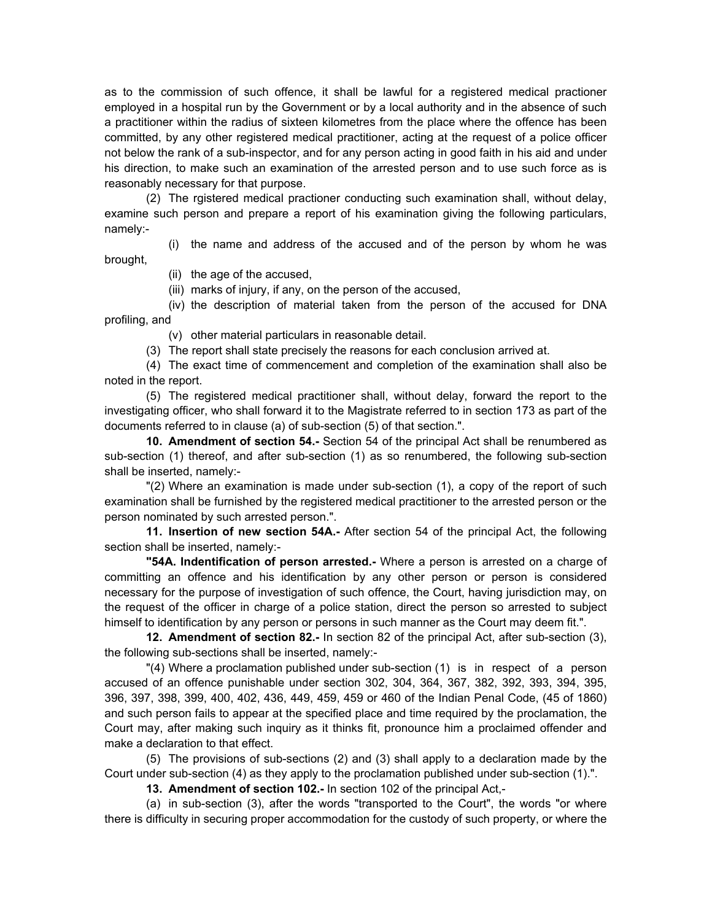as to the commission of such offence, it shall be lawful for a registered medical practioner employed in a hospital run by the Government or by a local authority and in the absence of such a practitioner within the radius of sixteen kilometres from the place where the offence has been committed, by any other registered medical practitioner, acting at the request of a police officer not below the rank of a sub-inspector, and for any person acting in good faith in his aid and under his direction, to make such an examination of the arrested person and to use such force as is reasonably necessary for that purpose.

(2) The rgistered medical practioner conducting such examination shall, without delay, examine such person and prepare a report of his examination giving the following particulars, namely:-

(i) the name and address of the accused and of the person by whom he was brought,

(ii) the age of the accused,

(iii) marks of injury, if any, on the person of the accused,

(iv) the description of material taken from the person of the accused for DNA profiling, and

(v) other material particulars in reasonable detail.

(3) The report shall state precisely the reasons for each conclusion arrived at.

(4) The exact time of commencement and completion of the examination shall also be noted in the report.

(5) The registered medical practitioner shall, without delay, forward the report to the investigating officer, who shall forward it to the Magistrate referred to in section 173 as part of the documents referred to in clause (a) of sub-section (5) of that section.".

**10. Amendment of section 54.-** Section 54 of the principal Act shall be renumbered as sub-section (1) thereof, and after sub-section (1) as so renumbered, the following sub-section shall be inserted, namely:-

"(2) Where an examination is made under sub-section (1), a copy of the report of such examination shall be furnished by the registered medical practitioner to the arrested person or the person nominated by such arrested person.".

**11. Insertion of new section 54A.-** After section 54 of the principal Act, the following section shall be inserted, namely:-

**"54A. Indentification of person arrested.-** Where a person is arrested on a charge of committing an offence and his identification by any other person or person is considered necessary for the purpose of investigation of such offence, the Court, having jurisdiction may, on the request of the officer in charge of a police station, direct the person so arrested to subject himself to identification by any person or persons in such manner as the Court may deem fit.".

**12. Amendment of section 82.-** In section 82 of the principal Act, after sub-section (3), the following sub-sections shall be inserted, namely:-

"(4) Where a proclamation published under sub-section ( 1) is in respect of a person accused of an offence punishable under section 302, 304, 364, 367, 382, 392, 393, 394, 395, 396, 397, 398, 399, 400, 402, 436, 449, 459, 459 or 460 of the Indian Penal Code, (45 of 1860) and such person fails to appear at the specified place and time required by the proclamation, the Court may, after making such inquiry as it thinks fit, pronounce him a proclaimed offender and make a declaration to that effect.

(5) The provisions of sub-sections (2) and (3) shall apply to a declaration made by the Court under sub-section (4) as they apply to the proclamation published under sub-section (1).".

**13. Amendment of section 102.-** In section 102 of the principal Act,-

(a) in sub-section (3), after the words "transported to the Court", the words "or where there is difficulty in securing proper accommodation for the custody of such property, or where the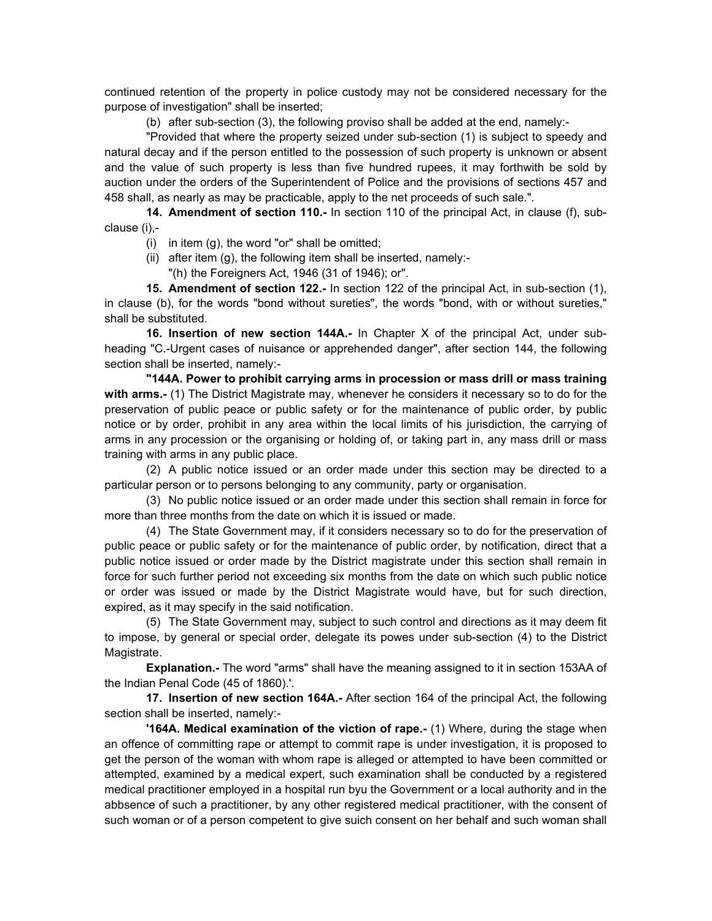continued retention of the property in police custody may not be considered necessary for the purpose of investigation" shall be inserted;

(b) after sub-section (3), the following proviso shall be added at the end, namely:-

"Provided that where the property seized under sub-section (1) is subject to speedy and natural decay and if the person entitled to the possession of such property is unknown or absent and the value of such property is less than five hundred rupees, it may forthwith be sold by auction under the orders of the Superintendent of Police and the provisions of sections 457 and 458 shall, as nearly as may be practicable, apply to the net proceeds of such sale.".

**14. Amendment of section 110.-** In section 110 of the principal Act, in clause (f), subclause (i),-

- (i) in item  $(q)$ , the word "or" shall be omitted;
- (ii) after item  $(q)$ , the following item shall be inserted, namely:-
	- "(h) the Foreigners Act, 1946 (31 of 1946); or".

**15. Amendment of section 122.-** In section 122 of the principal Act, in sub-section (1), in clause (b), for the words "bond without sureties", the words "bond, with or without sureties," shall be substituted.

**16. Insertion of new section 144A.-** In Chapter X of the principal Act, under subheading "C.-Urgent cases of nuisance or apprehended danger", after section 144, the following section shall be inserted, namely:-

**"144A. Power to prohibit carrying arms in procession or mass drill or mass training with arms.-** (1) The District Magistrate may, whenever he considers it necessary so to do for the preservation of public peace or public safety or for the maintenance of public order, by public notice or by order, prohibit in any area within the local limits of his jurisdiction, the carrying of arms in any procession or the organising or holding of, or taking part in, any mass drill or mass training with arms in any public place.

(2) A public notice issued or an order made under this section may be directed to a particular person or to persons belonging to any community, party or organisation.

(3) No public notice issued or an order made under this section shall remain in force for more than three months from the date on which it is issued or made.

(4) The State Government may, if it considers necessary so to do for the preservation of public peace or public safety or for the maintenance of public order, by notification, direct that a public notice issued or order made by the District magistrate under this section shall remain in force for such further period not exceeding six months from the date on which such public notice or order was issued or made by the District Magistrate would have, but for such direction, expired, as it may specify in the said notification.

(5) The State Government may, subject to such control and directions as it may deem fit to impose, by general or special order, delegate its powes under sub-section (4) to the District Magistrate.

**Explanation.-** The word "arms" shall have the meaning assigned to it in section 153AA of the Indian Penal Code (45 of 1860).'.

**17. Insertion of new section 164A.-** After section 164 of the principal Act, the following section shall be inserted, namely:-

**'164A. Medical examination of the viction of rape.-** (1) Where, during the stage when an offence of committing rape or attempt to commit rape is under investigation, it is proposed to get the person of the woman with whom rape is alleged or attempted to have been committed or attempted, examined by a medical expert, such examination shall be conducted by a registered medical practitioner employed in a hospital run byu the Government or a local authority and in the abbsence of such a practitioner, by any other registered medical practitioner, with the consent of such woman or of a person competent to give suich consent on her behalf and such woman shall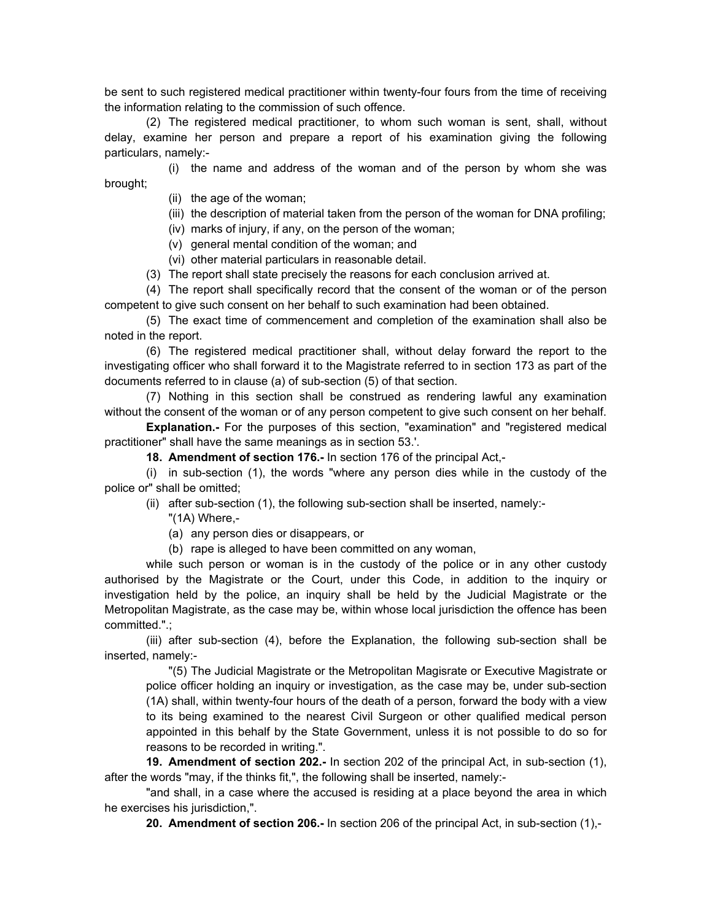be sent to such registered medical practitioner within twenty-four fours from the time of receiving the information relating to the commission of such offence.

(2) The registered medical practitioner, to whom such woman is sent, shall, without delay, examine her person and prepare a report of his examination giving the following particulars, namely:-

(i) the name and address of the woman and of the person by whom she was brought;

- (ii) the age of the woman;
- (iii) the description of material taken from the person of the woman for DNA profiling;
- (iv) marks of injury, if any, on the person of the woman;
- (v) general mental condition of the woman; and
- (vi) other material particulars in reasonable detail.
- (3) The report shall state precisely the reasons for each conclusion arrived at.

(4) The report shall specifically record that the consent of the woman or of the person competent to give such consent on her behalf to such examination had been obtained.

(5) The exact time of commencement and completion of the examination shall also be noted in the report.

(6) The registered medical practitioner shall, without delay forward the report to the investigating officer who shall forward it to the Magistrate referred to in section 173 as part of the documents referred to in clause (a) of sub-section (5) of that section.

(7) Nothing in this section shall be construed as rendering lawful any examination without the consent of the woman or of any person competent to give such consent on her behalf.

**Explanation.-** For the purposes of this section, "examination" and "registered medical practitioner" shall have the same meanings as in section 53.'.

**18. Amendment of section 176.-** In section 176 of the principal Act,-

(i) in sub-section (1), the words "where any person dies while in the custody of the police or" shall be omitted;

- (ii) after sub-section (1), the following sub-section shall be inserted, namely:-
	- "(1A) Where,-

(a) any person dies or disappears, or

(b) rape is alleged to have been committed on any woman,

while such person or woman is in the custody of the police or in any other custody authorised by the Magistrate or the Court, under this Code, in addition to the inquiry or investigation held by the police, an inquiry shall be held by the Judicial Magistrate or the Metropolitan Magistrate, as the case may be, within whose local jurisdiction the offence has been committed.".;

(iii) after sub-section (4), before the Explanation, the following sub-section shall be inserted, namely:-

"(5) The Judicial Magistrate or the Metropolitan Magisrate or Executive Magistrate or police officer holding an inquiry or investigation, as the case may be, under sub-section (1A) shall, within twenty-four hours of the death of a person, forward the body with a view to its being examined to the nearest Civil Surgeon or other qualified medical person appointed in this behalf by the State Government, unless it is not possible to do so for reasons to be recorded in writing.".

**19. Amendment of section 202.-** In section 202 of the principal Act, in sub-section (1), after the words "may, if the thinks fit,", the following shall be inserted, namely:-

"and shall, in a case where the accused is residing at a place beyond the area in which he exercises his jurisdiction,".

**20. Amendment of section 206.-** In section 206 of the principal Act, in sub-section (1),-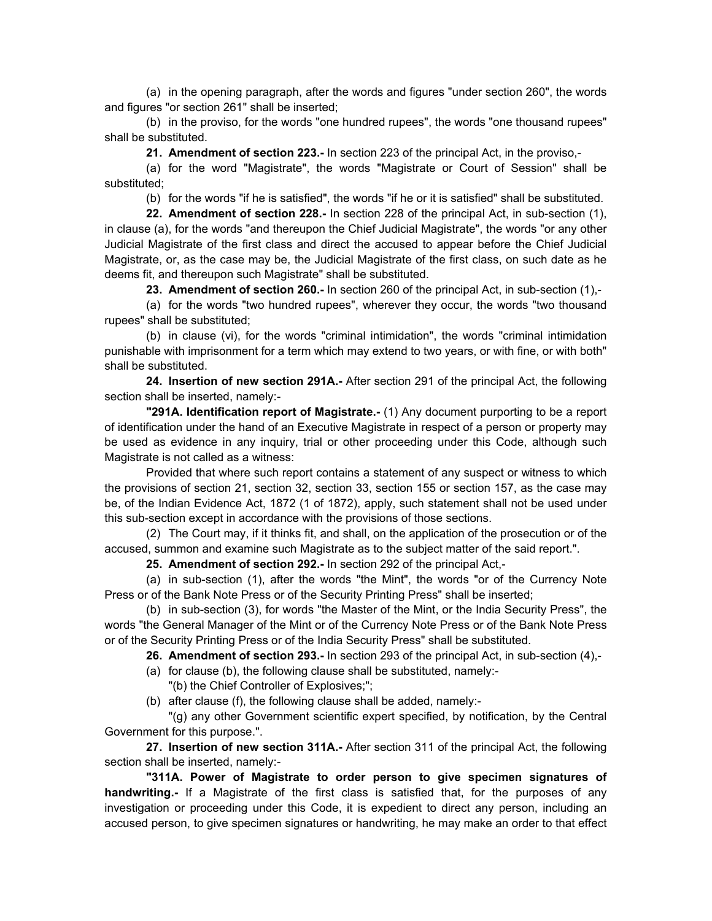(a) in the opening paragraph, after the words and figures "under section 260", the words and figures "or section 261" shall be inserted;

(b) in the proviso, for the words "one hundred rupees", the words "one thousand rupees" shall be substituted.

**21. Amendment of section 223.-** In section 223 of the principal Act, in the proviso,-

(a) for the word "Magistrate", the words "Magistrate or Court of Session" shall be substituted;

(b) for the words "if he is satisfied", the words "if he or it is satisfied" shall be substituted.

**22. Amendment of section 228.-** In section 228 of the principal Act, in sub-section (1), in clause (a), for the words "and thereupon the Chief Judicial Magistrate", the words "or any other Judicial Magistrate of the first class and direct the accused to appear before the Chief Judicial Magistrate, or, as the case may be, the Judicial Magistrate of the first class, on such date as he deems fit, and thereupon such Magistrate" shall be substituted.

**23. Amendment of section 260.-** In section 260 of the principal Act, in sub-section (1),-

(a) for the words "two hundred rupees", wherever they occur, the words "two thousand rupees" shall be substituted;

(b) in clause (vi), for the words "criminal intimidation", the words "criminal intimidation punishable with imprisonment for a term which may extend to two years, or with fine, or with both" shall be substituted.

**24. Insertion of new section 291A.-** After section 291 of the principal Act, the following section shall be inserted, namely:-

**"291A. Identification report of Magistrate.-** (1) Any document purporting to be a report of identification under the hand of an Executive Magistrate in respect of a person or property may be used as evidence in any inquiry, trial or other proceeding under this Code, although such Magistrate is not called as a witness:

Provided that where such report contains a statement of any suspect or witness to which the provisions of section 21, section 32, section 33, section 155 or section 157, as the case may be, of the Indian Evidence Act, 1872 (1 of 1872), apply, such statement shall not be used under this sub-section except in accordance with the provisions of those sections.

(2) The Court may, if it thinks fit, and shall, on the application of the prosecution or of the accused, summon and examine such Magistrate as to the subject matter of the said report.".

**25. Amendment of section 292.-** In section 292 of the principal Act,-

(a) in sub-section (1), after the words "the Mint", the words "or of the Currency Note Press or of the Bank Note Press or of the Security Printing Press" shall be inserted;

(b) in sub-section (3), for words "the Master of the Mint, or the India Security Press", the words "the General Manager of the Mint or of the Currency Note Press or of the Bank Note Press or of the Security Printing Press or of the India Security Press" shall be substituted.

**26. Amendment of section 293.-** In section 293 of the principal Act, in sub-section (4),-

- (a) for clause (b), the following clause shall be substituted, namely:-
- "(b) the Chief Controller of Explosives;";
- (b) after clause (f), the following clause shall be added, namely:-

"(g) any other Government scientific expert specified, by notification, by the Central Government for this purpose.".

**27. Insertion of new section 311A.-** After section 311 of the principal Act, the following section shall be inserted, namely:-

**"311A. Power of Magistrate to order person to give specimen signatures of handwriting.-** If a Magistrate of the first class is satisfied that, for the purposes of any investigation or proceeding under this Code, it is expedient to direct any person, including an accused person, to give specimen signatures or handwriting, he may make an order to that effect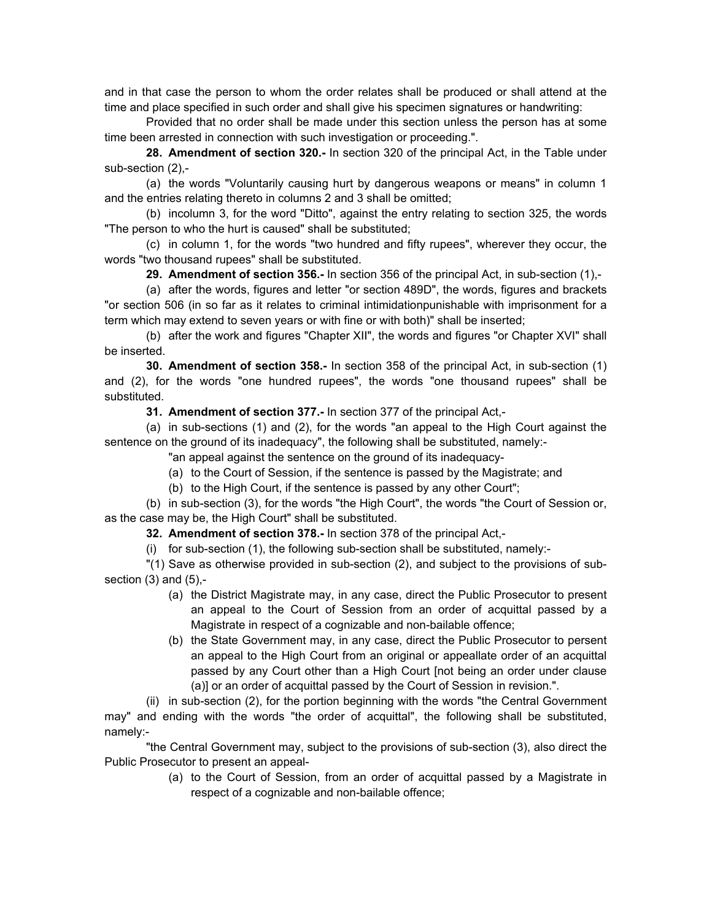and in that case the person to whom the order relates shall be produced or shall attend at the time and place specified in such order and shall give his specimen signatures or handwriting:

Provided that no order shall be made under this section unless the person has at some time been arrested in connection with such investigation or proceeding.".

**28. Amendment of section 320.-** In section 320 of the principal Act, in the Table under sub-section (2),-

(a) the words "Voluntarily causing hurt by dangerous weapons or means" in column 1 and the entries relating thereto in columns 2 and 3 shall be omitted;

(b) incolumn 3, for the word "Ditto", against the entry relating to section 325, the words "The person to who the hurt is caused" shall be substituted;

(c) in column 1, for the words "two hundred and fifty rupees", wherever they occur, the words "two thousand rupees" shall be substituted.

**29. Amendment of section 356.-** In section 356 of the principal Act, in sub-section (1),-

(a) after the words, figures and letter "or section 489D", the words, figures and brackets "or section 506 (in so far as it relates to criminal intimidationpunishable with imprisonment for a term which may extend to seven years or with fine or with both)" shall be inserted;

(b) after the work and figures "Chapter XII", the words and figures "or Chapter XVI" shall be inserted.

**30. Amendment of section 358.-** In section 358 of the principal Act, in sub-section (1) and (2), for the words "one hundred rupees", the words "one thousand rupees" shall be substituted.

**31. Amendment of section 377.-** In section 377 of the principal Act,-

(a) in sub-sections (1) and (2), for the words "an appeal to the High Court against the sentence on the ground of its inadequacy", the following shall be substituted, namely:-

"an appeal against the sentence on the ground of its inadequacy-

(a) to the Court of Session, if the sentence is passed by the Magistrate; and

(b) to the High Court, if the sentence is passed by any other Court";

(b) in sub-section (3), for the words "the High Court", the words "the Court of Session or, as the case may be, the High Court" shall be substituted.

**32. Amendment of section 378.-** In section 378 of the principal Act,-

(i) for sub-section (1), the following sub-section shall be substituted, namely:-

"(1) Save as otherwise provided in sub-section (2), and subject to the provisions of subsection  $(3)$  and  $(5)$ ,-

- (a) the District Magistrate may, in any case, direct the Public Prosecutor to present an appeal to the Court of Session from an order of acquittal passed by a Magistrate in respect of a cognizable and non-bailable offence;
- (b) the State Government may, in any case, direct the Public Prosecutor to persent an appeal to the High Court from an original or appeallate order of an acquittal passed by any Court other than a High Court [not being an order under clause (a)] or an order of acquittal passed by the Court of Session in revision.".

(ii) in sub-section (2), for the portion beginning with the words "the Central Government may" and ending with the words "the order of acquittal", the following shall be substituted, namely:-

"the Central Government may, subject to the provisions of sub-section (3), also direct the Public Prosecutor to present an appeal-

> (a) to the Court of Session, from an order of acquittal passed by a Magistrate in respect of a cognizable and non-bailable offence;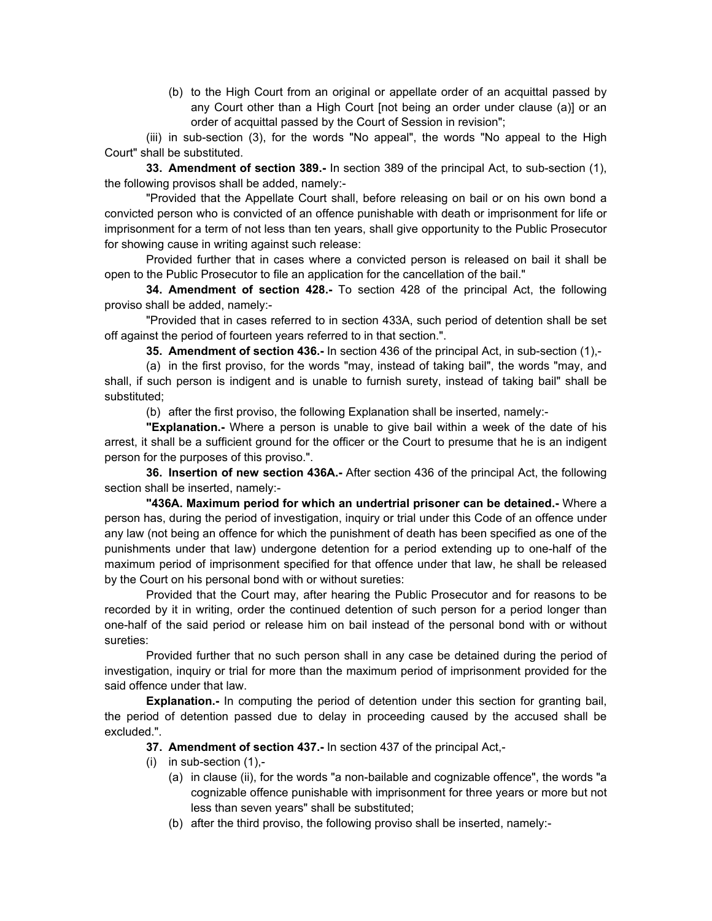(b) to the High Court from an original or appellate order of an acquittal passed by any Court other than a High Court [not being an order under clause (a)] or an order of acquittal passed by the Court of Session in revision";

(iii) in sub-section (3), for the words "No appeal", the words "No appeal to the High Court" shall be substituted.

**33. Amendment of section 389.-** In section 389 of the principal Act, to sub-section (1), the following provisos shall be added, namely:-

"Provided that the Appellate Court shall, before releasing on bail or on his own bond a convicted person who is convicted of an offence punishable with death or imprisonment for life or imprisonment for a term of not less than ten years, shall give opportunity to the Public Prosecutor for showing cause in writing against such release:

Provided further that in cases where a convicted person is released on bail it shall be open to the Public Prosecutor to file an application for the cancellation of the bail."

**34. Amendment of section 428.-** To section 428 of the principal Act, the following proviso shall be added, namely:-

"Provided that in cases referred to in section 433A, such period of detention shall be set off against the period of fourteen years referred to in that section.".

**35. Amendment of section 436.-** In section 436 of the principal Act, in sub-section (1),-

(a) in the first proviso, for the words "may, instead of taking bail", the words "may, and shall, if such person is indigent and is unable to furnish surety, instead of taking bail" shall be substituted;

(b) after the first proviso, the following Explanation shall be inserted, namely:-

**"Explanation.-** Where a person is unable to give bail within a week of the date of his arrest, it shall be a sufficient ground for the officer or the Court to presume that he is an indigent person for the purposes of this proviso.".

**36. Insertion of new section 436A.-** After section 436 of the principal Act, the following section shall be inserted, namely:-

**"436A. Maximum period for which an undertrial prisoner can be detained.-** Where a person has, during the period of investigation, inquiry or trial under this Code of an offence under any law (not being an offence for which the punishment of death has been specified as one of the punishments under that law) undergone detention for a period extending up to one-half of the maximum period of imprisonment specified for that offence under that law, he shall be released by the Court on his personal bond with or without sureties:

Provided that the Court may, after hearing the Public Prosecutor and for reasons to be recorded by it in writing, order the continued detention of such person for a period longer than one-half of the said period or release him on bail instead of the personal bond with or without sureties:

Provided further that no such person shall in any case be detained during the period of investigation, inquiry or trial for more than the maximum period of imprisonment provided for the said offence under that law.

**Explanation.**- In computing the period of detention under this section for granting bail, the period of detention passed due to delay in proceeding caused by the accused shall be excluded.".

- **37. Amendment of section 437.-** In section 437 of the principal Act,-
- (i) in sub-section (1),-
	- (a) in clause (ii), for the words "a non-bailable and cognizable offence", the words "a cognizable offence punishable with imprisonment for three years or more but not less than seven years" shall be substituted;
	- (b) after the third proviso, the following proviso shall be inserted, namely:-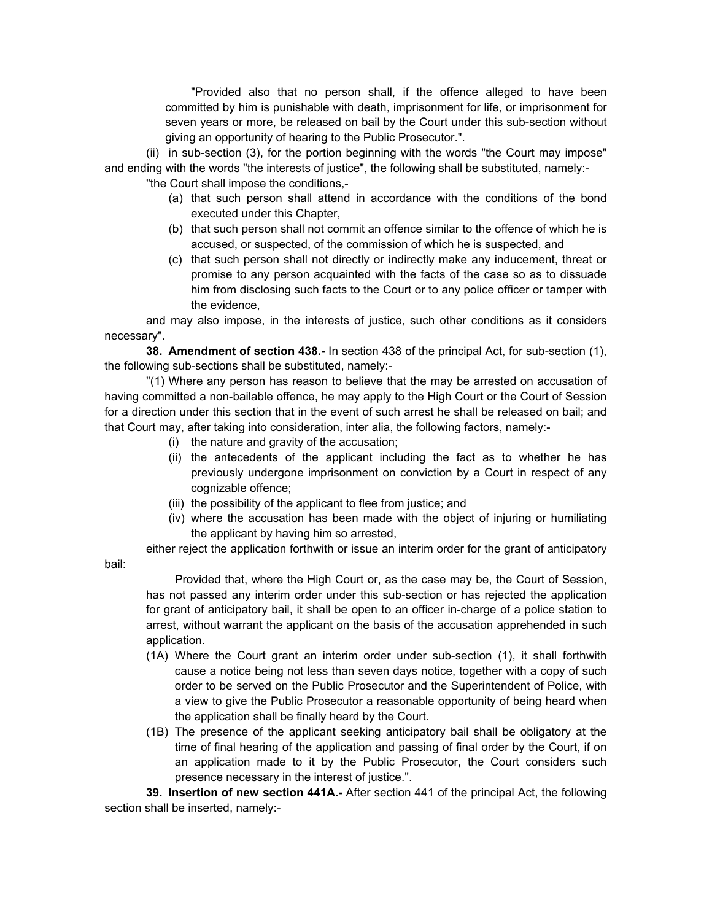"Provided also that no person shall, if the offence alleged to have been committed by him is punishable with death, imprisonment for life, or imprisonment for seven years or more, be released on bail by the Court under this sub-section without giving an opportunity of hearing to the Public Prosecutor.".

(ii) in sub-section (3), for the portion beginning with the words "the Court may impose" and ending with the words "the interests of justice", the following shall be substituted, namely:-

"the Court shall impose the conditions,-

- (a) that such person shall attend in accordance with the conditions of the bond executed under this Chapter,
- (b) that such person shall not commit an offence similar to the offence of which he is accused, or suspected, of the commission of which he is suspected, and
- (c) that such person shall not directly or indirectly make any inducement, threat or promise to any person acquainted with the facts of the case so as to dissuade him from disclosing such facts to the Court or to any police officer or tamper with the evidence,

and may also impose, in the interests of justice, such other conditions as it considers necessary".

**38. Amendment of section 438.-** In section 438 of the principal Act, for sub-section (1), the following sub-sections shall be substituted, namely:-

"(1) Where any person has reason to believe that the may be arrested on accusation of having committed a non-bailable offence, he may apply to the High Court or the Court of Session for a direction under this section that in the event of such arrest he shall be released on bail; and that Court may, after taking into consideration, inter alia, the following factors, namely:-

- (i) the nature and gravity of the accusation;
- (ii) the antecedents of the applicant including the fact as to whether he has previously undergone imprisonment on conviction by a Court in respect of any cognizable offence;
- (iii) the possibility of the applicant to flee from justice; and
- (iv) where the accusation has been made with the object of injuring or humiliating the applicant by having him so arrested,

either reject the application forthwith or issue an interim order for the grant of anticipatory

bail:

Provided that, where the High Court or, as the case may be, the Court of Session, has not passed any interim order under this sub-section or has rejected the application for grant of anticipatory bail, it shall be open to an officer in-charge of a police station to arrest, without warrant the applicant on the basis of the accusation apprehended in such application.

- (1A) Where the Court grant an interim order under sub-section (1), it shall forthwith cause a notice being not less than seven days notice, together with a copy of such order to be served on the Public Prosecutor and the Superintendent of Police, with a view to give the Public Prosecutor a reasonable opportunity of being heard when the application shall be finally heard by the Court.
- (1B) The presence of the applicant seeking anticipatory bail shall be obligatory at the time of final hearing of the application and passing of final order by the Court, if on an application made to it by the Public Prosecutor, the Court considers such presence necessary in the interest of justice.".

**39. Insertion of new section 441A.-** After section 441 of the principal Act, the following section shall be inserted, namely:-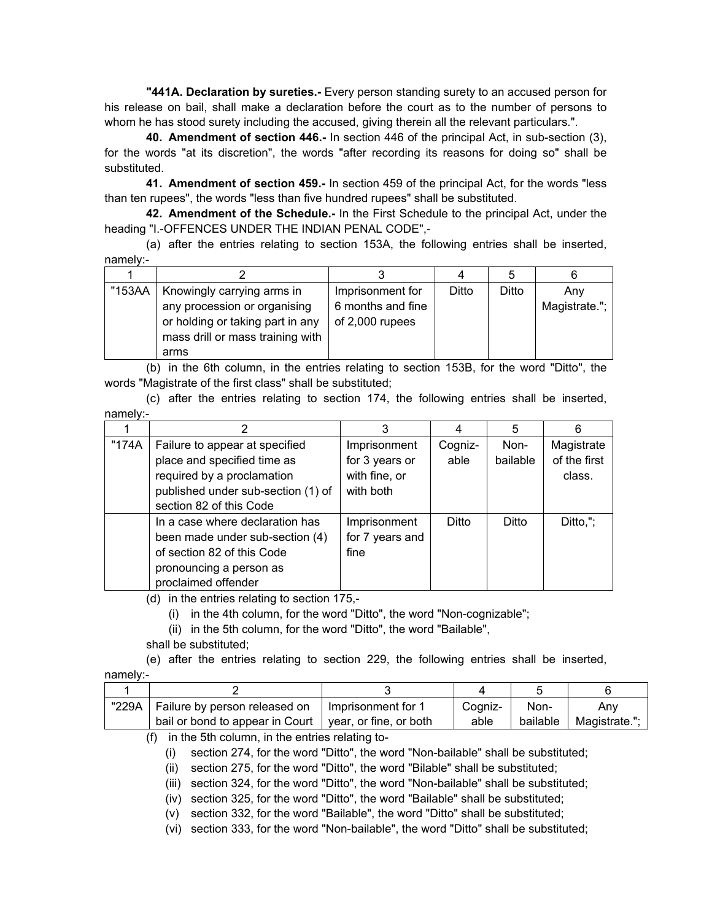**"441A. Declaration by sureties.-** Every person standing surety to an accused person for his release on bail, shall make a declaration before the court as to the number of persons to whom he has stood surety including the accused, giving therein all the relevant particulars.".

**40. Amendment of section 446.-** In section 446 of the principal Act, in sub-section (3), for the words "at its discretion", the words "after recording its reasons for doing so" shall be substituted.

**41. Amendment of section 459.-** In section 459 of the principal Act, for the words "less than ten rupees", the words "less than five hundred rupees" shall be substituted.

**42. Amendment of the Schedule.-** In the First Schedule to the principal Act, under the heading "I.-OFFENCES UNDER THE INDIAN PENAL CODE",-

(a) after the entries relating to section 153A, the following entries shall be inserted, namely:-

|        |                                  |                   |       | ხ     |               |
|--------|----------------------------------|-------------------|-------|-------|---------------|
| "153AA | Knowingly carrying arms in       | Imprisonment for  | Ditto | Ditto | Anv           |
|        | any procession or organising     | 6 months and fine |       |       | Magistrate."; |
|        | or holding or taking part in any | of 2,000 rupees   |       |       |               |
|        | mass drill or mass training with |                   |       |       |               |
|        | arms                             |                   |       |       |               |

(b) in the 6th column, in the entries relating to section 153B, for the word "Ditto", the words "Magistrate of the first class" shall be substituted;

(c) after the entries relating to section 174, the following entries shall be inserted, namely:-

|       | 2                                  |                 |         | 5        | 6            |
|-------|------------------------------------|-----------------|---------|----------|--------------|
| "174A | Failure to appear at specified     | Imprisonment    | Cogniz- | Non-     | Magistrate   |
|       | place and specified time as        | for 3 years or  | able    | bailable | of the first |
|       | required by a proclamation         | with fine, or   |         |          | class.       |
|       | published under sub-section (1) of | with both       |         |          |              |
|       | section 82 of this Code            |                 |         |          |              |
|       | In a case where declaration has    | Imprisonment    | Ditto   | Ditto    | Ditto,";     |
|       | been made under sub-section (4)    | for 7 years and |         |          |              |
|       | of section 82 of this Code         | fine            |         |          |              |
|       | pronouncing a person as            |                 |         |          |              |
|       | proclaimed offender                |                 |         |          |              |

(d) in the entries relating to section 175,-

(i) in the 4th column, for the word "Ditto", the word "Non-cognizable";

(ii) in the 5th column, for the word "Ditto", the word "Bailable",

shall be substituted;

(e) after the entries relating to section 229, the following entries shall be inserted, namely:-

| "229A | Failure by person released on   | l Imprisonment for 1   | Coaniz- | Non-     | Anv           |
|-------|---------------------------------|------------------------|---------|----------|---------------|
|       | bail or bond to appear in Court | vear, or fine, or both | able    | bailable | Magistrate.": |

(f) in the 5th column, in the entries relating to-

(i) section 274, for the word "Ditto", the word "Non-bailable" shall be substituted;

(ii) section 275, for the word "Ditto", the word "Bilable" shall be substituted;

(iii) section 324, for the word "Ditto", the word "Non-bailable" shall be substituted;

(iv) section 325, for the word "Ditto", the word "Bailable" shall be substituted;

(v) section 332, for the word "Bailable", the word "Ditto" shall be substituted;

(vi) section 333, for the word "Non-bailable", the word "Ditto" shall be substituted;